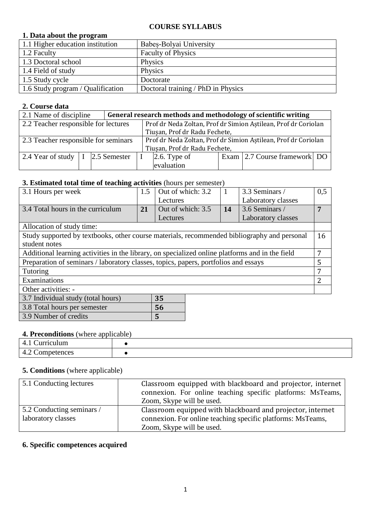#### **COURSE SYLLABUS**

#### **1. Data about the program**

| 1.1 Higher education institution  | Babes-Bolyai University            |
|-----------------------------------|------------------------------------|
| 1.2 Faculty                       | <b>Faculty of Physics</b>          |
| 1.3 Doctoral school               | Physics                            |
| 1.4 Field of study                | Physics                            |
| 1.5 Study cycle                   | Doctorate                          |
| 1.6 Study program / Qualification | Doctoral training / PhD in Physics |

### **2. Course data**

| 2.1 Name of discipline               |  |  | General research methods and methodology of scientific writing |                                                                |  |                              |  |
|--------------------------------------|--|--|----------------------------------------------------------------|----------------------------------------------------------------|--|------------------------------|--|
| 2.2 Teacher responsible for lectures |  |  |                                                                | Prof dr Neda Zoltan, Prof dr Simion Astilean, Prof dr Coriolan |  |                              |  |
| Tiușan, Prof dr Radu Fechete,        |  |  |                                                                |                                                                |  |                              |  |
| 2.3 Teacher responsible for seminars |  |  |                                                                | Prof dr Neda Zoltan, Prof dr Simion Aştilean, Prof dr Coriolan |  |                              |  |
|                                      |  |  |                                                                | Tiușan, Prof dr Radu Fechete,                                  |  |                              |  |
| 2.4 Year of study $ I $ 2.5 Semester |  |  |                                                                | $2.6$ . Type of                                                |  | Exam 2.7 Course framework DO |  |
|                                      |  |  |                                                                | evaluation                                                     |  |                              |  |

#### **3. Estimated total time of teaching activities** (hours per semester)

| 3.1 Hours per week                                                                              | 1.5 | Out of which: 3.2 |           | 3.3 Seminars /     | 0,5 |
|-------------------------------------------------------------------------------------------------|-----|-------------------|-----------|--------------------|-----|
|                                                                                                 |     | Lectures          |           | Laboratory classes |     |
| 3.4 Total hours in the curriculum                                                               | 21  | Out of which: 3.5 | <b>14</b> | 3.6 Seminars /     | 7   |
|                                                                                                 |     | Lectures          |           | Laboratory classes |     |
| Allocation of study time:                                                                       |     |                   |           |                    |     |
| Study supported by textbooks, other course materials, recommended bibliography and personal     |     |                   |           |                    | 16  |
| student notes                                                                                   |     |                   |           |                    |     |
| Additional learning activities in the library, on specialized online platforms and in the field |     |                   |           |                    | 7   |
| Preparation of seminars / laboratory classes, topics, papers, portfolios and essays             |     |                   |           |                    | 5   |
| Tutoring                                                                                        |     |                   |           |                    | 7   |
| Examinations                                                                                    |     |                   |           |                    | 2   |
| Other activities: -                                                                             |     |                   |           |                    |     |
| 3.7 Individual study (total hours)                                                              |     | 35                |           |                    |     |
| 3.8 Total hours per semester                                                                    |     | 56                |           |                    |     |

#### **4. Preconditions** (where applicable)

3.9 Number of credits **5**

| $\cdots$           |  |  |  |  |
|--------------------|--|--|--|--|
| Curriculum<br>т. д |  |  |  |  |
| Competences<br>.   |  |  |  |  |

#### **5. Conditions** (where applicable)

| 5.1 Conducting lectures                         | Classroom equipped with blackboard and projector, internet<br>connexion. For online teaching specific platforms: MsTeams,<br>Zoom, Skype will be used. |
|-------------------------------------------------|--------------------------------------------------------------------------------------------------------------------------------------------------------|
| 5.2 Conducting seminars /<br>laboratory classes | Classroom equipped with blackboard and projector, internet<br>connexion. For online teaching specific platforms: MsTeams,<br>Zoom, Skype will be used. |

#### **6. Specific competences acquired**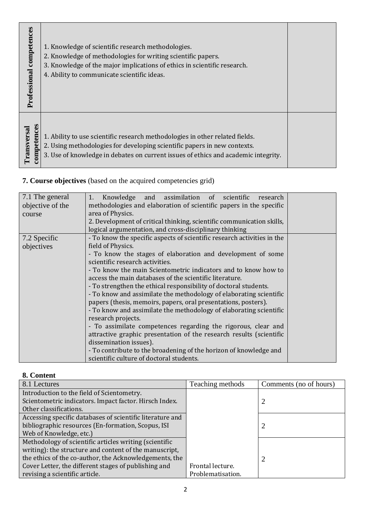| 1. Knowledge of scientific research methodologies.<br>2. Knowledge of methodologies for writing scientific papers.<br>3. Knowledge of the major implications of ethics in scientific research.<br>4. Ability to communicate scientific ideas.<br>1. Ability to use scientific research methodologies in other related fields.<br>2. Using methodologies for developing scientific papers in new contexts.<br>3. Use of knowledge in debates on current issues of ethics and academic integrity. |
|-------------------------------------------------------------------------------------------------------------------------------------------------------------------------------------------------------------------------------------------------------------------------------------------------------------------------------------------------------------------------------------------------------------------------------------------------------------------------------------------------|
|-------------------------------------------------------------------------------------------------------------------------------------------------------------------------------------------------------------------------------------------------------------------------------------------------------------------------------------------------------------------------------------------------------------------------------------------------------------------------------------------------|

# **7. Course objectives** (based on the acquired competencies grid)

| 7.1 The general<br>objective of the<br>course | Knowledge and assimilation of scientific<br>1.<br>research<br>methodologies and elaboration of scientific papers in the specific<br>area of Physics.<br>2. Development of critical thinking, scientific communication skills,<br>logical argumentation, and cross-disciplinary thinking                                                                                                                                                                                                                                                                                                                                                                                                                                                                                                                                                                                                                                |  |
|-----------------------------------------------|------------------------------------------------------------------------------------------------------------------------------------------------------------------------------------------------------------------------------------------------------------------------------------------------------------------------------------------------------------------------------------------------------------------------------------------------------------------------------------------------------------------------------------------------------------------------------------------------------------------------------------------------------------------------------------------------------------------------------------------------------------------------------------------------------------------------------------------------------------------------------------------------------------------------|--|
| 7.2 Specific<br>objectives                    | - To know the specific aspects of scientific research activities in the<br>field of Physics.<br>- To know the stages of elaboration and development of some<br>scientific research activities.<br>- To know the main Scientometric indicators and to know how to<br>access the main databases of the scientific literature.<br>- To strengthen the ethical responsibility of doctoral students.<br>- To know and assimilate the methodology of elaborating scientific<br>papers (thesis, memoirs, papers, oral presentations, posters).<br>- To know and assimilate the methodology of elaborating scientific<br>research projects.<br>- To assimilate competences regarding the rigorous, clear and<br>attractive graphic presentation of the research results (scientific<br>dissemination issues).<br>- To contribute to the broadening of the horizon of knowledge and<br>scientific culture of doctoral students. |  |

## **8. Content**

| 8.1 Lectures                                              | Teaching methods  | Comments (no of hours) |
|-----------------------------------------------------------|-------------------|------------------------|
| Introduction to the field of Scientometry.                |                   |                        |
| Scientometric indicators. Impact factor. Hirsch Index.    |                   |                        |
| Other classifications.                                    |                   |                        |
| Accessing specific databases of scientific literature and |                   |                        |
| bibliographic resources (En-formation, Scopus, ISI        |                   |                        |
| Web of Knowledge, etc.)                                   |                   |                        |
| Methodology of scientific articles writing (scientific    |                   |                        |
| writing): the structure and content of the manuscript,    |                   |                        |
| the ethics of the co-author, the Acknowledgements, the    |                   | 2                      |
| Cover Letter, the different stages of publishing and      | Frontal lecture.  |                        |
| revising a scientific article.                            | Problematisation. |                        |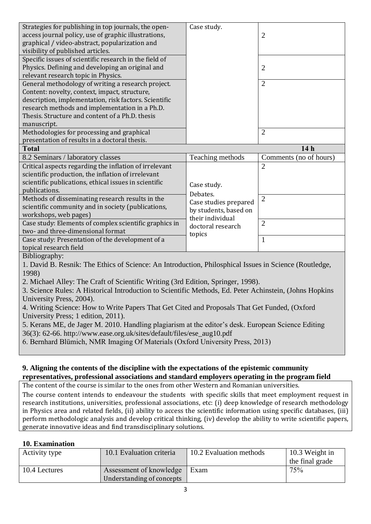| Strategies for publishing in top journals, the open-                                                   | Case study.           |                        |
|--------------------------------------------------------------------------------------------------------|-----------------------|------------------------|
| access journal policy, use of graphic illustrations,                                                   |                       | $\overline{2}$         |
| graphical / video-abstract, popularization and                                                         |                       |                        |
| visibility of published articles.                                                                      |                       |                        |
| Specific issues of scientific research in the field of                                                 |                       |                        |
| Physics. Defining and developing an original and                                                       |                       | $\overline{2}$         |
| relevant research topic in Physics.                                                                    |                       |                        |
| General methodology of writing a research project.                                                     |                       | $\overline{2}$         |
| Content: novelty, context, impact, structure,                                                          |                       |                        |
| description, implementation, risk factors. Scientific                                                  |                       |                        |
| research methods and implementation in a Ph.D.                                                         |                       |                        |
| Thesis. Structure and content of a Ph.D. thesis                                                        |                       |                        |
| manuscript.                                                                                            |                       |                        |
| Methodologies for processing and graphical                                                             |                       | $\overline{2}$         |
| presentation of results in a doctoral thesis.                                                          |                       |                        |
| <b>Total</b>                                                                                           |                       | 14 <sub>h</sub>        |
|                                                                                                        |                       |                        |
| 8.2 Seminars / laboratory classes                                                                      | Teaching methods      | Comments (no of hours) |
| Critical aspects regarding the inflation of irrelevant                                                 |                       | $\overline{2}$         |
| scientific production, the inflation of irrelevant                                                     |                       |                        |
|                                                                                                        |                       |                        |
| scientific publications, ethical issues in scientific<br>publications.                                 | Case study.           |                        |
|                                                                                                        | Debates.              |                        |
| Methods of disseminating research results in the                                                       | Case studies prepared | $\overline{2}$         |
| scientific community and in society (publications,                                                     | by students, based on |                        |
| workshops, web pages)                                                                                  | their individual      |                        |
| Case study: Elements of complex scientific graphics in<br>two- and three-dimensional format            | doctoral research     | $\overline{2}$         |
| Case study: Presentation of the development of a                                                       | topics                | $\mathbf{1}$           |
| topical research field                                                                                 |                       |                        |
| Bibliography:                                                                                          |                       |                        |
| 1. David B. Resnik: The Ethics of Science: An Introduction, Philosphical Issues in Science (Routledge, |                       |                        |
| 1998)                                                                                                  |                       |                        |

3. Science Rules: A Historical Introduction to Scientific Methods, Ed. Peter Achinstein, (Johns Hopkins University Press, 2004).

4. Writing Science: How to Write Papers That Get Cited and Proposals That Get Funded, (Oxford University Press; 1 edition, 2011).

5. Kerans ME, de Jager M. 2010. Handling plagiarism at the editor's desk. European Science Editing 36(3): 62-66. http://www.ease.org.uk/sites/default/files/ese\_aug10.pdf

6. Bernhard Blümich, NMR Imaging Of Materials (Oxford University Press, 2013)

### **9. Aligning the contents of the discipline with the expectations of the epistemic community representatives, professional associations and standard employers operating in the program field**

The content of the course is similar to the ones from other Western and Romanian universities.

The course content intends to endeavour the students with specific skills that meet employment request in research institutions, universities, professional associations, etc: (i) deep knowledge of research methodology in Physics area and related fields, (ii) ability to access the scientific information using specific databases, (iii) perform methodologic analysis and develop critical thinking, (iv) develop the ability to write scientific papers, generate innovative ideas and find transdisciplinary solutions.

## **10. Examination**

| Activity type | 10.1 Evaluation criteria                             | 10.2 Evaluation methods | 10.3 Weight in<br>the final grade |
|---------------|------------------------------------------------------|-------------------------|-----------------------------------|
| 10.4 Lectures | Assessment of knowledge<br>Understanding of concepts | <sup>1</sup> Exam       | 75%                               |